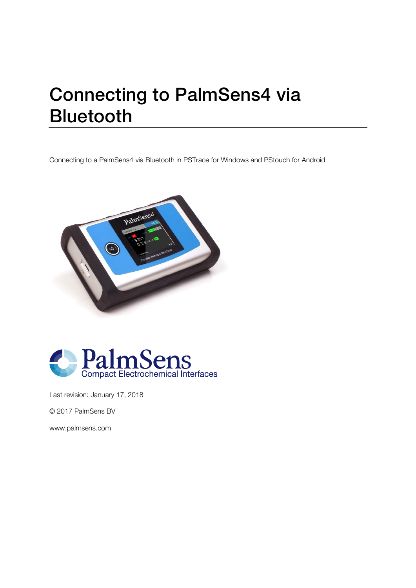## Connecting to PalmSens4 via Bluetooth

Connecting to a PalmSens4 via Bluetooth in PSTrace for Windows and PStouch for Android





Last revision: January 17, 2018

© 2017 PalmSens BV

www.palmsens.com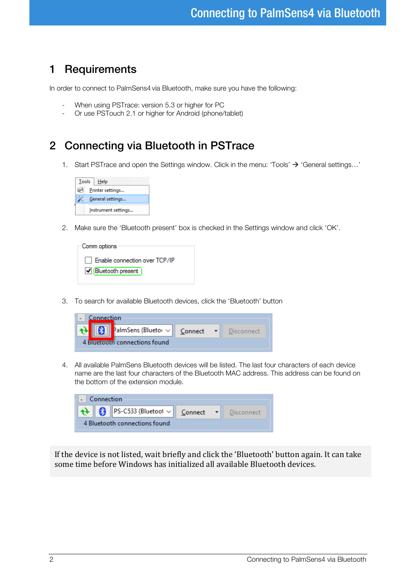## 1 Requirements

In order to connect to PalmSens4 via Bluetooth, make sure you have the following:

- When using PSTrace: version 5.3 or higher for PC<br>- Or use PSTouch 2.1 or higher for Android (phone)
- Or use PSTouch 2.1 or higher for Android (phone/tablet)

## 2 Connecting via Bluetooth in PSTrace

1. Start PSTrace and open the Settings window. Click in the menu: 'Tools'  $\rightarrow$  'General settings...'



2. Make sure the 'Bluetooth present' box is checked in the Settings window and click 'OK'.

| ⊤Comm options                 |
|-------------------------------|
|                               |
| Enable connection over TCP/IP |
| Bluetooth present             |
|                               |

3. To search for available Bluetooth devices, click the 'Bluetooth' button

| connection |                                    |         |  |            |  |  |  |
|------------|------------------------------------|---------|--|------------|--|--|--|
|            | PalmSens (Bluetor v                | Connect |  | Disconnect |  |  |  |
|            | <b>Bluetooth connections found</b> |         |  |            |  |  |  |

4. All available PalmSens Bluetooth devices will be listed. The last four characters of each device name are the last four characters of the Bluetooth MAC address. This address can be found on the bottom of the extension module.

| Connection                    |  |                                                                                                      |  |  |             |  |  |
|-------------------------------|--|------------------------------------------------------------------------------------------------------|--|--|-------------|--|--|
|                               |  | $\left\  \mathbf{A} \right\ $ (8)   PS-C533 (Bluetoot $\vee$   Connect $\left\  \mathbf{A} \right\ $ |  |  | Disconnect. |  |  |
| 4 Bluetooth connections found |  |                                                                                                      |  |  |             |  |  |

If the device is not listed, wait briefly and click the 'Bluetooth' button again. It can take some time before Windows has initialized all available Bluetooth devices.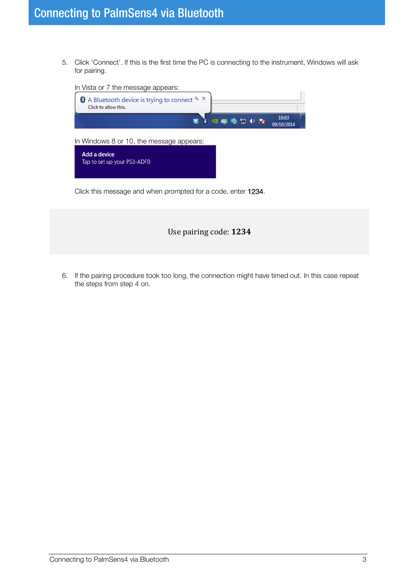5. Click 'Connect'. If this is the first time the PC is connecting to the instrument, Windows will ask for pairing.



Use pairing code: **1234**

6. If the pairing procedure took too long, the connection might have timed out. In this case repeat the steps from step 4 on.